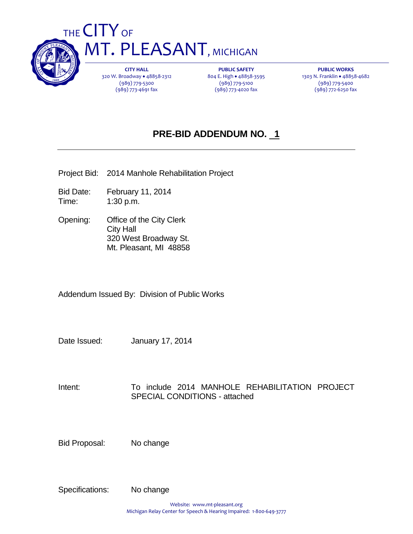

**CITY HALL** 320 W. Broadway . 48858-2312 (989) 779-5300 (989) 773-4691 fax

**PUBLIC SAFETY** 804 E. High . 48858-3595 (989) 779-5100 (989) 773-4020 fax

**PUBLIC WORKS** 1303 N. Franklin 48858-4682 (989) 779-5400 (989) 772-6250 fax

# **PRE-BID ADDENDUM NO. 1**

Project Bid: 2014 Manhole Rehabilitation Project

Bid Date: February 11, 2014 Time: 1:30 p.m.

Opening: Office of the City Clerk City Hall 320 West Broadway St. Mt. Pleasant, MI 48858

Addendum Issued By: Division of Public Works

Date Issued: January 17, 2014

Intent: To include 2014 MANHOLE REHABILITATION PROJECT SPECIAL CONDITIONS - attached

Bid Proposal: No change

Specifications: No change